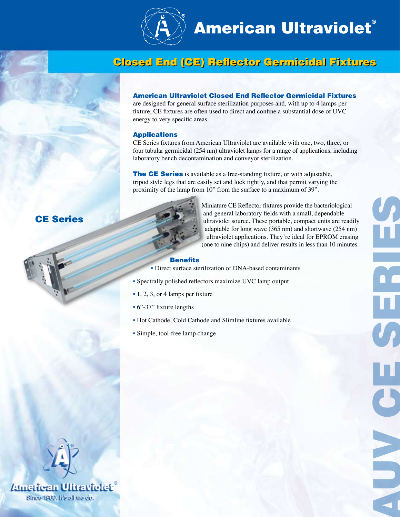

# **American Ultraviolet®**

# Closed End (CE) Reflector Germicidal Fixtures Closed End (CE) Reflector Germicidal Fixtures

#### American Ultraviolet Closed End Reflector Germicidal Fixtures

are designed for general surface sterilization purposes and, with up to 4 lamps per fixture, CE fixtures are often used to direct and confine a substantial dose of UVC energy to very specific areas.

#### Applications

CE Series fixtures from American Ultraviolet are available with one, two, three, or four tubular germicidal (254 nm) ultraviolet lamps for a range of applications, including laboratory bench decontamination and conveyor sterilization.

**The CE Series** is available as a free-standing fixture, or with adjustable, tripod style legs that are easily set and lock tightly, and that permit varying the proximity of the lamp from 10" from the surface to a maximum of 39".



 Miniature CE Reflector fixtures provide the bacteriological and general laboratory fields with a small, dependable ultraviolet source. These portable, compact units are readily adaptable for long wave (365 nm) and shortwave (254 nm) ultraviolet applications. They're ideal for EPROM erasing (one to nine chips) and deliver results in less than 10 minutes.

CE SERIES

 $\frac{1}{3}$ 

E

#### Benefits

- Direct surface sterilization of DNA-based contaminants
- Spectrally polished reflectors maximize UVC lamp output
- 1, 2, 3, or 4 lamps per fixture
- 6"-37" fixture lengths
- Hot Cathode, Cold Cathode and Slimline fixtures available
- Simple, tool-free lamp change



CE Series